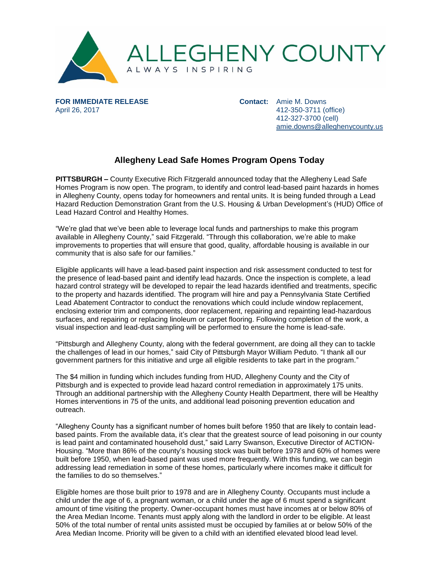

**FOR IMMEDIATE RELEASE** April 26, 2017

**Contact:** Amie M. Downs 412-350-3711 (office) 412-327-3700 (cell) [amie.downs@alleghenycounty.us](mailto:amie.downs@alleghenycounty.us)

## **Allegheny Lead Safe Homes Program Opens Today**

**PITTSBURGH –** County Executive Rich Fitzgerald announced today that the Allegheny Lead Safe Homes Program is now open. The program, to identify and control lead-based paint hazards in homes in Allegheny County, opens today for homeowners and rental units. It is being funded through a Lead Hazard Reduction Demonstration Grant from the U.S. Housing & Urban Development's (HUD) Office of Lead Hazard Control and Healthy Homes.

"We're glad that we've been able to leverage local funds and partnerships to make this program available in Allegheny County," said Fitzgerald. "Through this collaboration, we're able to make improvements to properties that will ensure that good, quality, affordable housing is available in our community that is also safe for our families."

Eligible applicants will have a lead-based paint inspection and risk assessment conducted to test for the presence of lead-based paint and identify lead hazards. Once the inspection is complete, a lead hazard control strategy will be developed to repair the lead hazards identified and treatments, specific to the property and hazards identified. The program will hire and pay a Pennsylvania State Certified Lead Abatement Contractor to conduct the renovations which could include window replacement, enclosing exterior trim and components, door replacement, repairing and repainting lead-hazardous surfaces, and repairing or replacing linoleum or carpet flooring. Following completion of the work, a visual inspection and lead-dust sampling will be performed to ensure the home is lead-safe.

"Pittsburgh and Allegheny County, along with the federal government, are doing all they can to tackle the challenges of lead in our homes," said City of Pittsburgh Mayor William Peduto. "I thank all our government partners for this initiative and urge all eligible residents to take part in the program."

The \$4 million in funding which includes funding from HUD, Allegheny County and the City of Pittsburgh and is expected to provide lead hazard control remediation in approximately 175 units. Through an additional partnership with the Allegheny County Health Department, there will be Healthy Homes interventions in 75 of the units, and additional lead poisoning prevention education and outreach.

"Allegheny County has a significant number of homes built before 1950 that are likely to contain leadbased paints. From the available data, it's clear that the greatest source of lead poisoning in our county is lead paint and contaminated household dust," said Larry Swanson, Executive Director of ACTION-Housing. "More than 86% of the county's housing stock was built before 1978 and 60% of homes were built before 1950, when lead-based paint was used more frequently. With this funding, we can begin addressing lead remediation in some of these homes, particularly where incomes make it difficult for the families to do so themselves."

Eligible homes are those built prior to 1978 and are in Allegheny County. Occupants must include a child under the age of 6, a pregnant woman, or a child under the age of 6 must spend a significant amount of time visiting the property. Owner-occupant homes must have incomes at or below 80% of the Area Median Income. Tenants must apply along with the landlord in order to be eligible. At least 50% of the total number of rental units assisted must be occupied by families at or below 50% of the Area Median Income. Priority will be given to a child with an identified elevated blood lead level.